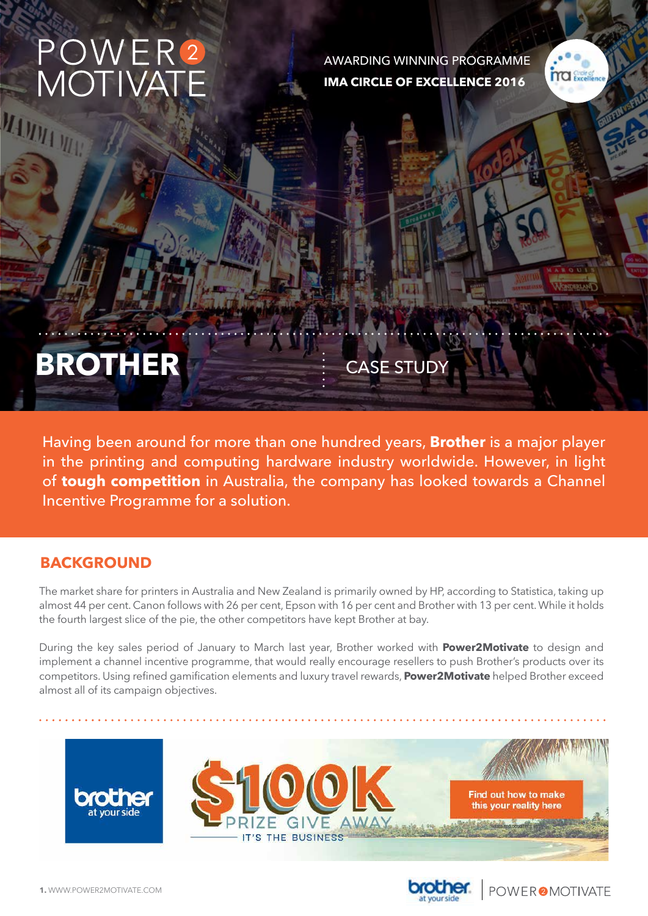# POWER<sup>2</sup><br>MOTIVATE MANIA W

AWARDING WINNING PROGRAMME **IMA CIRCLE OF EXCELLENCE 2016**



# **BROTHER** CASE STUDY

Having been around for more than one hundred years, **Brother** is a major player in the printing and computing hardware industry worldwide. However, in light of **tough competition** in Australia, the company has looked towards a Channel Incentive Programme for a solution.

#### **BACKGROUND**

The market share for printers in Australia and New Zealand is primarily owned by HP, according to Statistica, taking up almost 44 per cent. Canon follows with 26 per cent, Epson with 16 per cent and Brother with 13 per cent. While it holds the fourth largest slice of the pie, the other competitors have kept Brother at bay.

During the key sales period of January to March last year, Brother worked with **Power2Motivate** to design and implement a channel incentive programme, that would really encourage resellers to push Brother's products over its competitors. Using refined gamification elements and luxury travel rewards, **Power2Motivate** helped Brother exceed almost all of its campaign objectives.





**POWEROMOTIVATE**